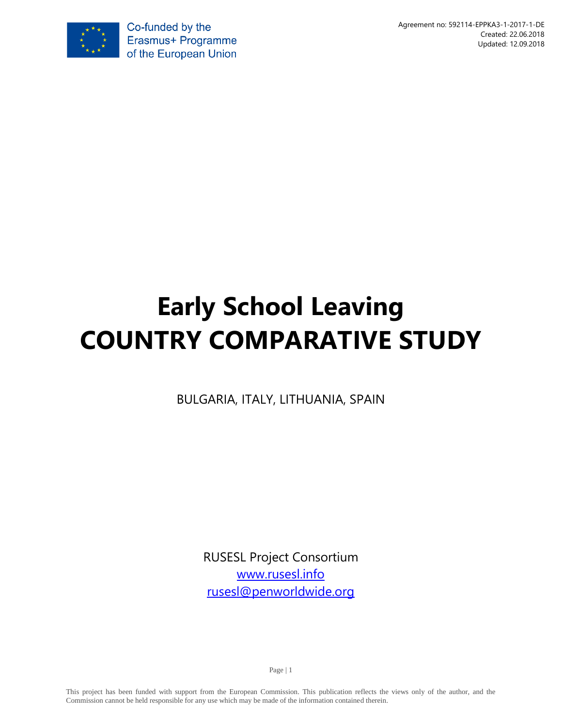

# **Early School Leaving COUNTRY COMPARATIVE STUDY**

BULGARIA, ITALY, LITHUANIA, SPAIN

RUSESL Project Consortium [www.rusesl.info](http://www.rusesl.info/) [rusesl@penworldwide.org](mailto:rusesl@penworldwide.org)

Page | 1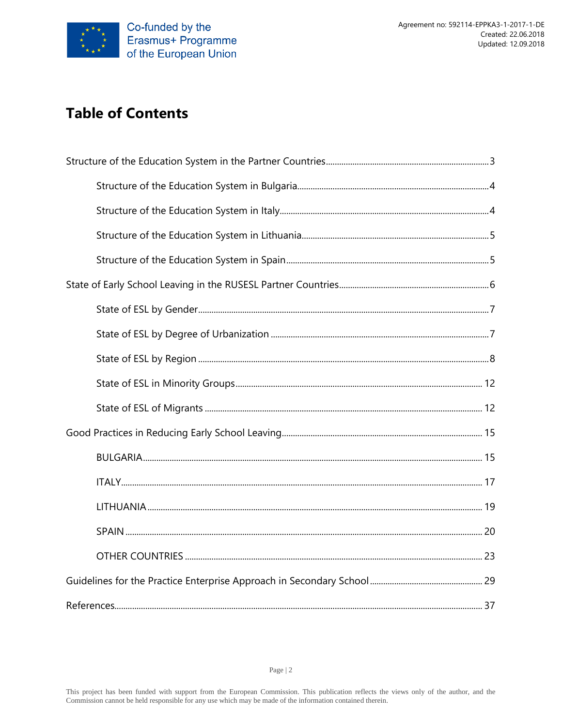

# **Table of Contents**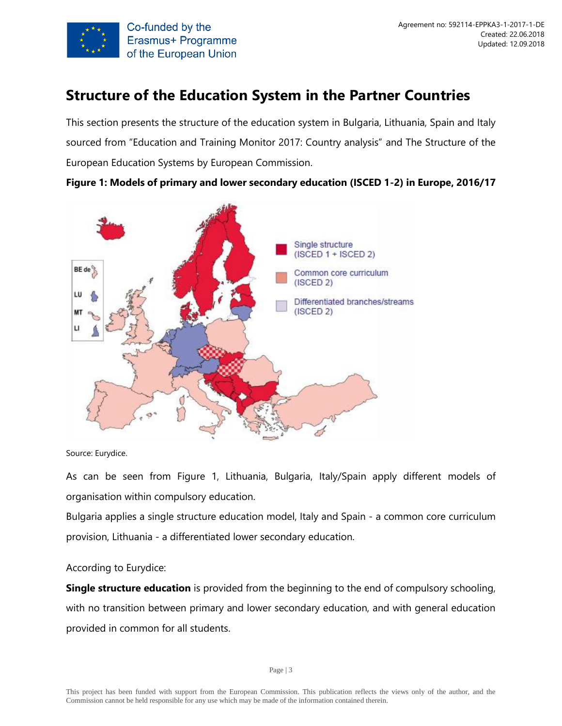

# <span id="page-2-0"></span>**Structure of the Education System in the Partner Countries**

This section presents the structure of the education system in Bulgaria, Lithuania, Spain and Italy sourced from "Education and Training Monitor 2017: Country analysis" and The Structure of the European Education Systems by European Commission.

**Figure 1: Models of primary and lower secondary education (ISCED 1-2) in Europe, 2016/17**



Source: Eurydice.

As can be seen from Figure 1, Lithuania, Bulgaria, Italy/Spain apply different models of organisation within compulsory education.

Bulgaria applies a single structure education model, Italy and Spain - a common core curriculum provision, Lithuania - a differentiated lower secondary education.

#### According to Eurydice:

**Single structure education** is provided from the beginning to the end of compulsory schooling, with no transition between primary and lower secondary education, and with general education provided in common for all students.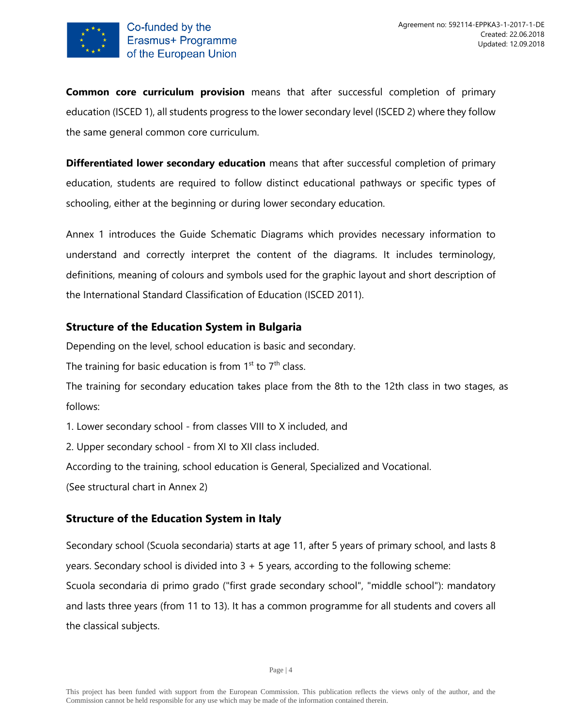

**Common core curriculum provision** means that after successful completion of primary education (ISCED 1), all students progress to the lower secondary level (ISCED 2) where they follow the same general common core curriculum.

**Differentiated lower secondary education** means that after successful completion of primary education, students are required to follow distinct educational pathways or specific types of schooling, either at the beginning or during lower secondary education.

Annex 1 introduces the Guide Schematic Diagrams which provides necessary information to understand and correctly interpret the content of the diagrams. It includes terminology, definitions, meaning of colours and symbols used for the graphic layout and short description of the International Standard Classification of Education (ISCED 2011).

# <span id="page-3-0"></span>**Structure of the Education System in Bulgaria**

Depending on the level, school education is basic and secondary.

The training for basic education is from  $1<sup>st</sup>$  to  $7<sup>th</sup>$  class.

The training for secondary education takes place from the 8th to the 12th class in two stages, as follows:

1. Lower secondary school - from classes VIII to X included, and

2. Upper secondary school - from XI to XII class included.

According to the training, school education is General, Specialized and Vocational.

(See structural chart in Annex 2)

# <span id="page-3-1"></span>**Structure of the Education System in Italy**

Secondary school (Scuola secondaria) starts at age 11, after 5 years of primary school, and lasts 8 years. Secondary school is divided into 3 + 5 years, according to the following scheme: Scuola secondaria di primo grado ("first grade secondary school", "middle school"): mandatory and lasts three years (from 11 to 13). It has a common programme for all students and covers all the classical subjects.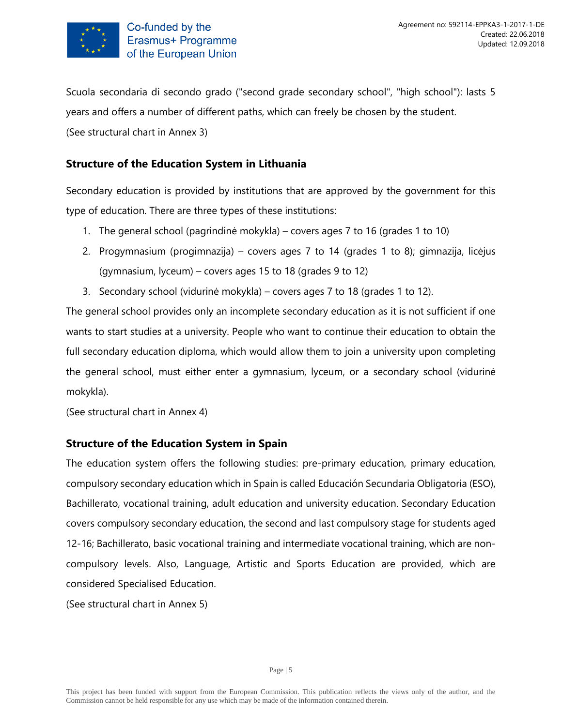

Scuola secondaria di secondo grado ("second grade secondary school", "high school"): lasts 5 years and offers a number of different paths, which can freely be chosen by the student. (See structural chart in Annex 3)

# <span id="page-4-0"></span>**Structure of the Education System in Lithuania**

Secondary education is provided by institutions that are approved by the government for this type of education. There are three types of these institutions:

- 1. The general school (pagrindinė mokykla) covers ages 7 to 16 (grades 1 to 10)
- 2. Progymnasium (progimnazija) covers ages 7 to 14 (grades 1 to 8); gimnazija, licėjus (gymnasium, lyceum) – covers ages 15 to 18 (grades 9 to 12)
- 3. Secondary school (vidurinė mokykla) covers ages 7 to 18 (grades 1 to 12).

The general school provides only an incomplete secondary education as it is not sufficient if one wants to start studies at a university. People who want to continue their education to obtain the full secondary education diploma, which would allow them to join a university upon completing the general school, must either enter a gymnasium, lyceum, or a secondary school (vidurinė mokykla).

(See structural chart in Annex 4)

# <span id="page-4-1"></span>**Structure of the Education System in Spain**

The education system offers the following studies: pre-primary education, primary education, compulsory secondary education which in Spain is called Educación Secundaria Obligatoria (ESO), Bachillerato, vocational training, adult education and university education. Secondary Education covers compulsory secondary education, the second and last compulsory stage for students aged 12-16; Bachillerato, basic vocational training and intermediate vocational training, which are noncompulsory levels. Also, Language, Artistic and Sports Education are provided, which are considered Specialised Education.

(See structural chart in Annex 5)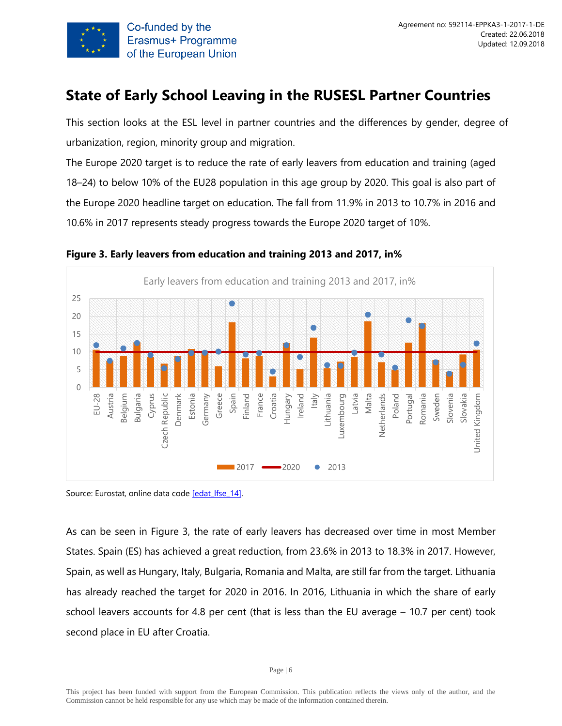

# <span id="page-5-0"></span>**State of Early School Leaving in the RUSESL Partner Countries**

This section looks at the ESL level in partner countries and the differences by gender, degree of urbanization, region, minority group and migration.

The Europe 2020 target is to reduce the rate of early leavers from education and training (aged 18–24) to below 10% of the EU28 population in this age group by 2020. This goal is also part of the Europe 2020 headline target on education. The fall from 11.9% in 2013 to 10.7% in 2016 and 10.6% in 2017 represents steady progress towards the Europe 2020 target of 10%.



**Figure 3. Early leavers from education and training 2013 and 2017, in%**

Source: Eurostat, online data code [edat lfse\_14].

As can be seen in Figure 3, the rate of early leavers has decreased over time in most Member States. Spain (ES) has achieved a great reduction, from 23.6% in 2013 to 18.3% in 2017. However, Spain, as well as Hungary, Italy, Bulgaria, Romania and Malta, are still far from the target. Lithuania has already reached the target for 2020 in 2016. In 2016, Lithuania in which the share of early school leavers accounts for 4.8 per cent (that is less than the EU average – 10.7 per cent) took second place in EU after Croatia.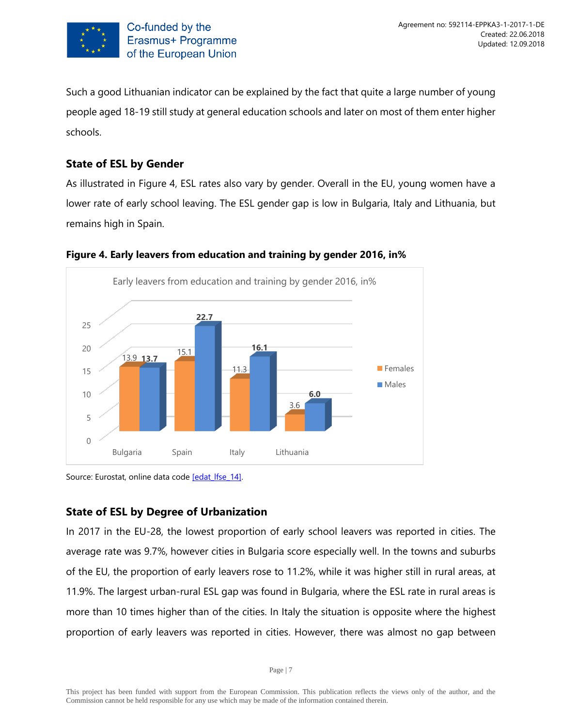

Such a good Lithuanian indicator can be explained by the fact that quite a large number of young people aged 18-19 still study at general education schools and later on most of them enter higher schools.

# <span id="page-6-0"></span>**State of ESL by Gender**

As illustrated in Figure 4, ESL rates also vary by gender. Overall in the EU, young women have a lower rate of early school leaving. The ESL gender gap is low in Bulgaria, Italy and Lithuania, but remains high in Spain.



#### **Figure 4. Early leavers from education and training by gender 2016, in%**

Source: Eurostat, online data code [edat lfse\_14].

# <span id="page-6-1"></span>**State of ESL by Degree of Urbanization**

In 2017 in the EU-28, the lowest proportion of early school leavers was reported in cities. The average rate was 9.7%, however cities in Bulgaria score especially well. In the towns and suburbs of the EU, the proportion of early leavers rose to 11.2%, while it was higher still in rural areas, at 11.9%. The largest urban-rural ESL gap was found in Bulgaria, where the ESL rate in rural areas is more than 10 times higher than of the cities. In Italy the situation is opposite where the highest proportion of early leavers was reported in cities. However, there was almost no gap between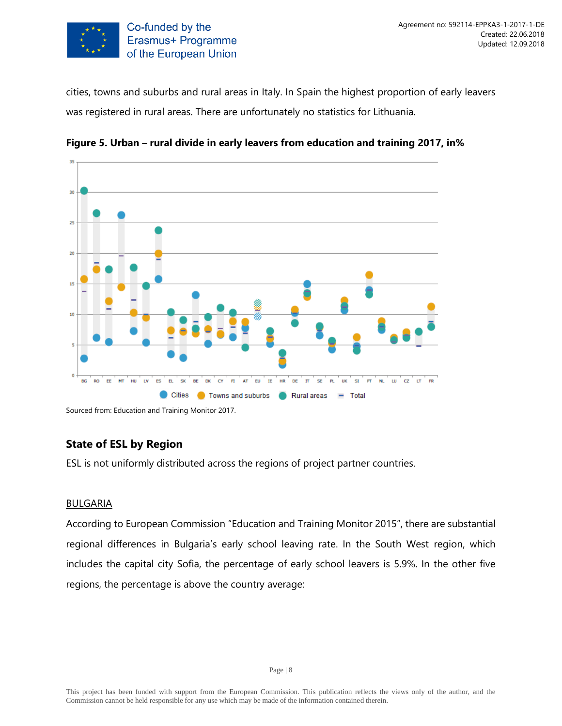

cities, towns and suburbs and rural areas in Italy. In Spain the highest proportion of early leavers was registered in rural areas. There are unfortunately no statistics for Lithuania.





Sourced from: Education and Training Monitor 2017.

# <span id="page-7-0"></span>**State of ESL by Region**

ESL is not uniformly distributed across the regions of project partner countries.

#### **BULGARIA**

According to European Commission "Education and Training Monitor 2015", there are substantial regional differences in Bulgaria's early school leaving rate. In the South West region, which includes the capital city Sofia, the percentage of early school leavers is 5.9%. In the other five regions, the percentage is above the country average: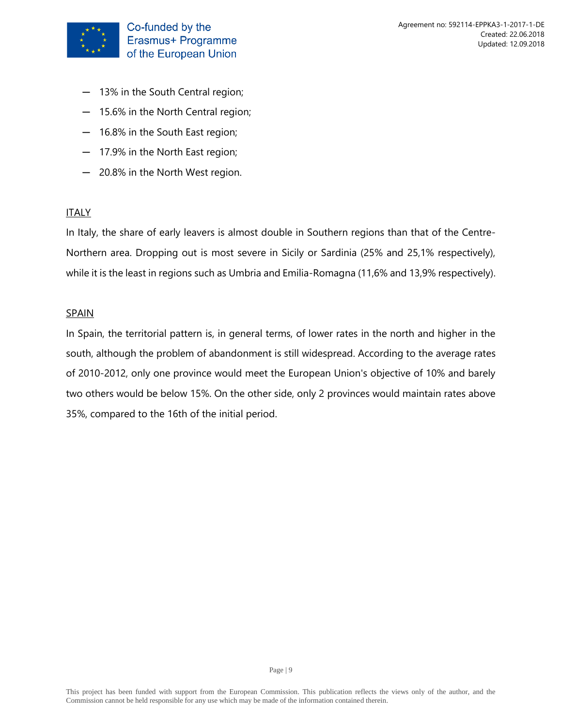

- ─ 13% in the South Central region;
- ─ 15.6% in the North Central region;
- ─ 16.8% in the South East region;
- ─ 17.9% in the North East region;
- ─ 20.8% in the North West region.

In Italy, the share of early leavers is almost double in Southern regions than that of the Centre-Northern area. Dropping out is most severe in Sicily or Sardinia (25% and 25,1% respectively), while it is the least in regions such as Umbria and Emilia-Romagna (11,6% and 13,9% respectively).

#### SPAIN

In Spain, the territorial pattern is, in general terms, of lower rates in the north and higher in the south, although the problem of abandonment is still widespread. According to the average rates of 2010-2012, only one province would meet the European Union's objective of 10% and barely two others would be below 15%. On the other side, only 2 provinces would maintain rates above 35%, compared to the 16th of the initial period.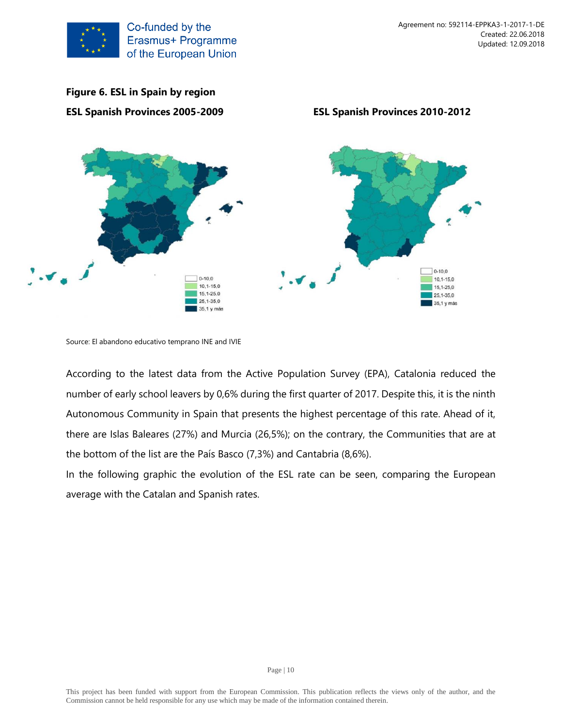



Source: El abandono educativo temprano INE and IVIE

According to the latest data from the Active Population Survey (EPA), Catalonia reduced the number of early school leavers by 0,6% during the first quarter of 2017. Despite this, it is the ninth Autonomous Community in Spain that presents the highest percentage of this rate. Ahead of it, there are Islas Baleares (27%) and Murcia (26,5%); on the contrary, the Communities that are at the bottom of the list are the País Basco (7,3%) and Cantabria (8,6%).

In the following graphic the evolution of the ESL rate can be seen, comparing the European average with the Catalan and Spanish rates.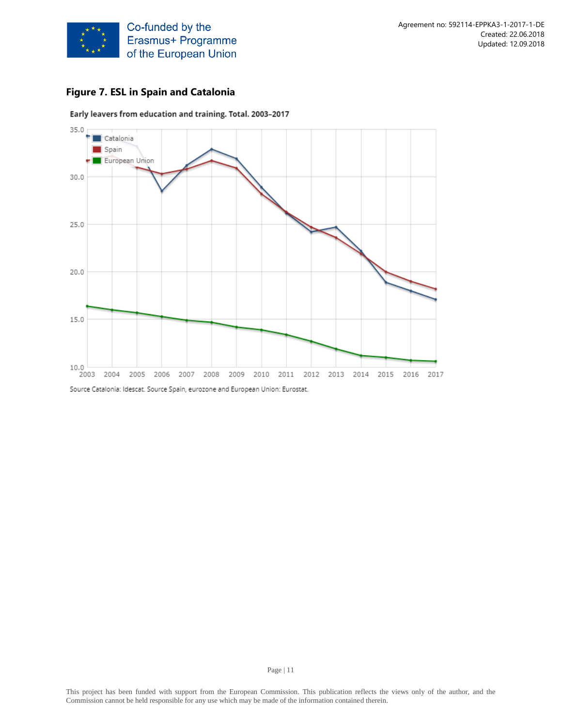

# **Figure 7. ESL in Spain and Catalonia**



Early leavers from education and training. Total. 2003-2017

Source Catalonia: Idescat. Source Spain, eurozone and European Union: Eurostat.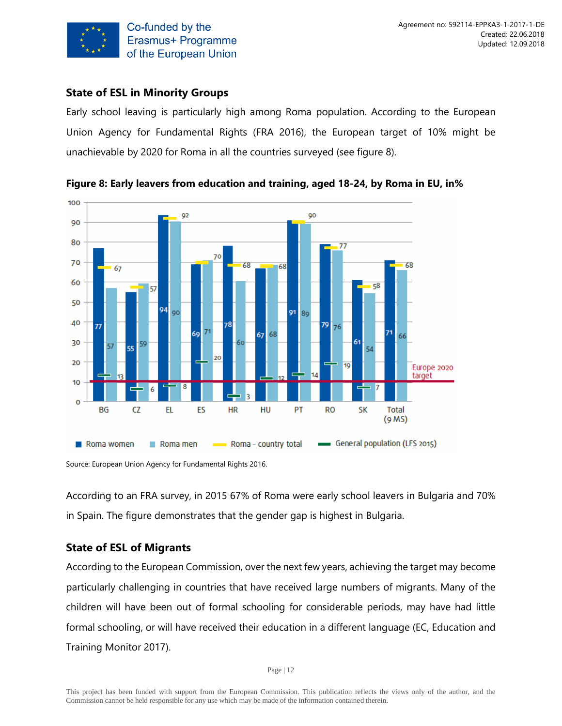

# <span id="page-11-0"></span>**State of ESL in Minority Groups**

Early school leaving is particularly high among Roma population. According to the European Union Agency for Fundamental Rights (FRA 2016), the European target of 10% might be unachievable by 2020 for Roma in all the countries surveyed (see figure 8).





Source: European Union Agency for Fundamental Rights 2016.

According to an FRA survey, in 2015 67% of Roma were early school leavers in Bulgaria and 70% in Spain. The figure demonstrates that the gender gap is highest in Bulgaria.

#### <span id="page-11-1"></span>**State of ESL of Migrants**

According to the European Commission, over the next few years, achieving the target may become particularly challenging in countries that have received large numbers of migrants. Many of the children will have been out of formal schooling for considerable periods, may have had little formal schooling, or will have received their education in a different language (EC, Education and Training Monitor 2017).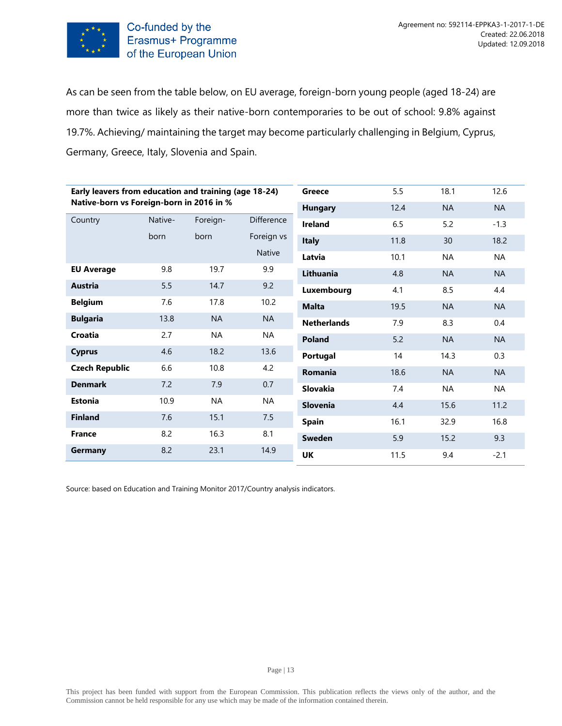

As can be seen from the table below, on EU average, foreign-born young people (aged 18-24) are more than twice as likely as their native-born contemporaries to be out of school: 9.8% against 19.7%. Achieving/ maintaining the target may become particularly challenging in Belgium, Cyprus, Germany, Greece, Italy, Slovenia and Spain.

| Early leavers from education and training (age 18-24) |         |           |            | Greece             | 5.5  | 18.1      | 12.6      |
|-------------------------------------------------------|---------|-----------|------------|--------------------|------|-----------|-----------|
| Native-born vs Foreign-born in 2016 in %              |         |           |            | <b>Hungary</b>     | 12.4 | <b>NA</b> | <b>NA</b> |
| Country                                               | Native- | Foreign-  | Difference | <b>Ireland</b>     | 6.5  | 5.2       | $-1.3$    |
|                                                       | born    | born      | Foreign vs | <b>Italy</b>       | 11.8 | 30        | 18.2      |
|                                                       |         |           | Native     | Latvia             | 10.1 | <b>NA</b> | <b>NA</b> |
| <b>EU Average</b>                                     | 9.8     | 19.7      | 9.9        | Lithuania          | 4.8  | <b>NA</b> | <b>NA</b> |
| <b>Austria</b>                                        | 5.5     | 14.7      | 9.2        | Luxembourg         | 4.1  | 8.5       | 4.4       |
| <b>Belgium</b>                                        | 7.6     | 17.8      | 10.2       | <b>Malta</b>       | 19.5 | <b>NA</b> | <b>NA</b> |
| <b>Bulgaria</b>                                       | 13.8    | <b>NA</b> | <b>NA</b>  | <b>Netherlands</b> | 7.9  | 8.3       | 0.4       |
| Croatia                                               | 2.7     | <b>NA</b> | <b>NA</b>  | <b>Poland</b>      | 5.2  | <b>NA</b> | <b>NA</b> |
| <b>Cyprus</b>                                         | 4.6     | 18.2      | 13.6       | Portugal           | 14   | 14.3      | 0.3       |
| <b>Czech Republic</b>                                 | 6.6     | 10.8      | 4.2        | <b>Romania</b>     | 18.6 | <b>NA</b> | <b>NA</b> |
| <b>Denmark</b>                                        | 7.2     | 7.9       | 0.7        | Slovakia           | 7.4  | <b>NA</b> | <b>NA</b> |
| <b>Estonia</b>                                        | 10.9    | <b>NA</b> | <b>NA</b>  | Slovenia           | 4.4  | 15.6      | 11.2      |
| <b>Finland</b>                                        | 7.6     | 15.1      | 7.5        | <b>Spain</b>       | 16.1 | 32.9      | 16.8      |
| <b>France</b>                                         | 8.2     | 16.3      | 8.1        | Sweden             | 5.9  | 15.2      | 9.3       |
| Germany                                               | 8.2     | 23.1      | 14.9       | UK                 | 11.5 | 9.4       | $-2.1$    |
|                                                       |         |           |            |                    |      |           |           |

Source: based on Education and Training Monitor 2017/Country analysis indicators.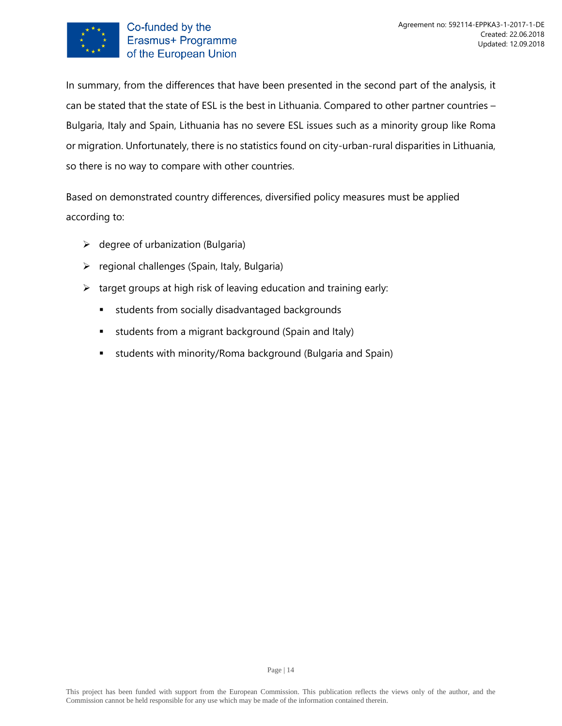

In summary, from the differences that have been presented in the second part of the analysis, it can be stated that the state of ESL is the best in Lithuania. Compared to other partner countries – Bulgaria, Italy and Spain, Lithuania has no severe ESL issues such as a minority group like Roma or migration. Unfortunately, there is no statistics found on city-urban-rural disparities in Lithuania, so there is no way to compare with other countries.

Based on demonstrated country differences, diversified policy measures must be applied according to:

- $\triangleright$  degree of urbanization (Bulgaria)
- $\triangleright$  regional challenges (Spain, Italy, Bulgaria)
- $\triangleright$  target groups at high risk of leaving education and training early:
	- **E** students from socially disadvantaged backgrounds
	- **E** students from a migrant background (Spain and Italy)
	- **E** students with minority/Roma background (Bulgaria and Spain)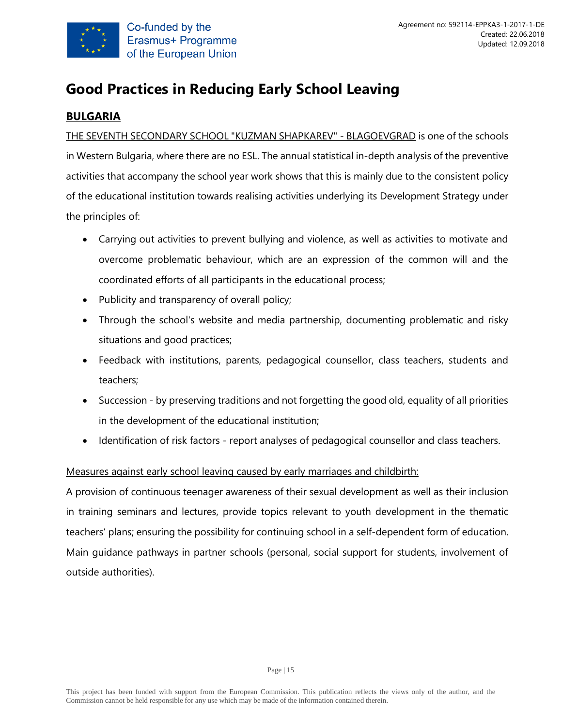

# <span id="page-14-0"></span>**Good Practices in Reducing Early School Leaving**

# <span id="page-14-1"></span>**BULGARIA**

THE SEVENTH SECONDARY SCHOOL "KUZMAN SHAPKAREV" - BLAGOEVGRAD is one of the schools in Western Bulgaria, where there are no ESL. The annual statistical in-depth analysis of the preventive activities that accompany the school year work shows that this is mainly due to the consistent policy of the educational institution towards realising activities underlying its Development Strategy under the principles of:

- Carrying out activities to prevent bullying and violence, as well as activities to motivate and overcome problematic behaviour, which are an expression of the common will and the coordinated efforts of all participants in the educational process;
- Publicity and transparency of overall policy;
- Through the school's website and media partnership, documenting problematic and risky situations and good practices;
- Feedback with institutions, parents, pedagogical counsellor, class teachers, students and teachers;
- Succession by preserving traditions and not forgetting the good old, equality of all priorities in the development of the educational institution;
- Identification of risk factors report analyses of pedagogical counsellor and class teachers.

# Measures against early school leaving caused by early marriages and childbirth:

A provision of continuous teenager awareness of their sexual development as well as their inclusion in training seminars and lectures, provide topics relevant to youth development in the thematic teachers' plans; ensuring the possibility for continuing school in a self-dependent form of education. Main guidance pathways in partner schools (personal, social support for students, involvement of outside authorities).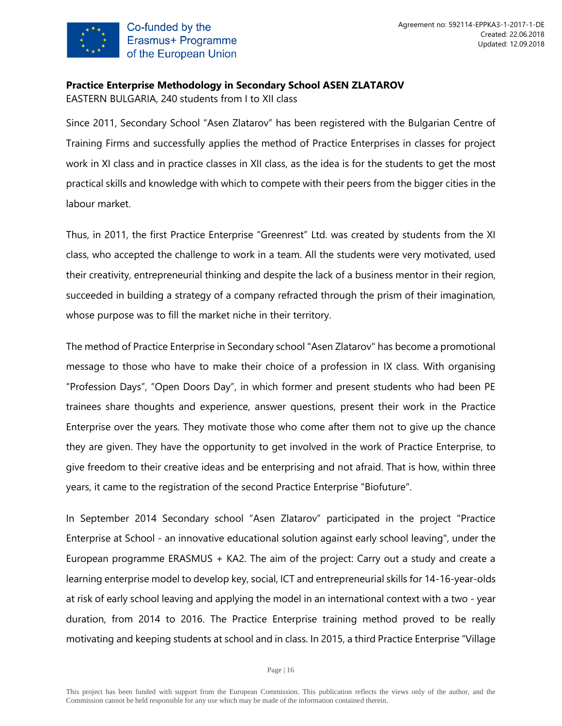

# **Practice Enterprise Methodology in Secondary School ASEN ZLATAROV**

EASTERN BULGARIA, 240 students from I to XII class

Since 2011, Secondary School "Asen Zlatarov" has been registered with the Bulgarian Centre of Training Firms and successfully applies the method of Practice Enterprises in classes for project work in XI class and in practice classes in XII class, as the idea is for the students to get the most practical skills and knowledge with which to compete with their peers from the bigger cities in the labour market.

Thus, in 2011, the first Practice Enterprise "Greenrest" Ltd. was created by students from the XI class, who accepted the challenge to work in a team. All the students were very motivated, used their creativity, entrepreneurial thinking and despite the lack of a business mentor in their region, succeeded in building a strategy of a company refracted through the prism of their imagination, whose purpose was to fill the market niche in their territory.

The method of Practice Enterprise in Secondary school "Asen Zlatarov" has become a promotional message to those who have to make their choice of a profession in IX class. With organising "Profession Days", "Open Doors Day", in which former and present students who had been PE trainees share thoughts and experience, answer questions, present their work in the Practice Enterprise over the years. They motivate those who come after them not to give up the chance they are given. They have the opportunity to get involved in the work of Practice Enterprise, to give freedom to their creative ideas and be enterprising and not afraid. That is how, within three years, it came to the registration of the second Practice Enterprise "Biofuture".

In September 2014 Secondary school "Asen Zlatarov" participated in the project "Practice Enterprise at School - an innovative educational solution against early school leaving", under the European programme ERASMUS + KA2. The aim of the project: Carry out a study and create a learning enterprise model to develop key, social, ICT and entrepreneurial skills for 14-16-year-olds at risk of early school leaving and applying the model in an international context with a two - year duration, from 2014 to 2016. The Practice Enterprise training method proved to be really motivating and keeping students at school and in class. In 2015, a third Practice Enterprise "Village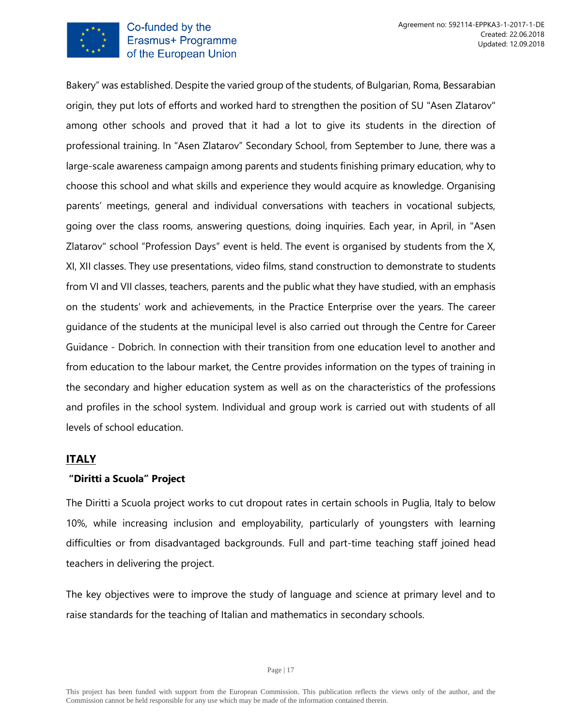

#### Co-funded by the Erasmus+ Programme of the European Union

Bakery" was established. Despite the varied group of the students, of Bulgarian, Roma, Bessarabian origin, they put lots of efforts and worked hard to strengthen the position of SU "Asen Zlatarov" among other schools and proved that it had a lot to give its students in the direction of professional training. In "Asen Zlatarov" Secondary School, from September to June, there was a large-scale awareness campaign among parents and students finishing primary education, why to choose this school and what skills and experience they would acquire as knowledge. Organising parents' meetings, general and individual conversations with teachers in vocational subjects, going over the class rooms, answering questions, doing inquiries. Each year, in April, in "Asen Zlatarov" school "Profession Days" event is held. The event is organised by students from the X, XI, XII classes. They use presentations, video films, stand construction to demonstrate to students from VI and VII classes, teachers, parents and the public what they have studied, with an emphasis on the students' work and achievements, in the Practice Enterprise over the years. The career guidance of the students at the municipal level is also carried out through the Centre for Career Guidance - Dobrich. In connection with their transition from one education level to another and from education to the labour market, the Centre provides information on the types of training in the secondary and higher education system as well as on the characteristics of the professions and profiles in the school system. Individual and group work is carried out with students of all levels of school education.

#### <span id="page-16-0"></span>**ITALY**

#### **"Diritti a Scuola" Project**

The Diritti a Scuola project works to cut dropout rates in certain schools in Puglia, Italy to below 10%, while increasing inclusion and employability, particularly of youngsters with learning difficulties or from disadvantaged backgrounds. Full and part-time teaching staff joined head teachers in delivering the project.

The key objectives were to improve the study of language and science at primary level and to raise standards for the teaching of Italian and mathematics in secondary schools.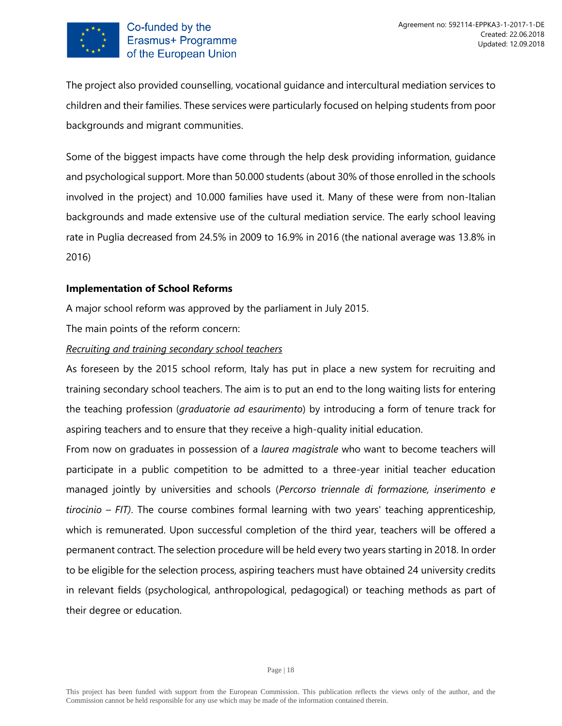

The project also provided counselling, vocational guidance and intercultural mediation services to children and their families. These services were particularly focused on helping students from poor backgrounds and migrant communities.

Some of the biggest impacts have come through the help desk providing information, guidance and psychological support. More than 50.000 students (about 30% of those enrolled in the schools involved in the project) and 10.000 families have used it. Many of these were from non-Italian backgrounds and made extensive use of the cultural mediation service. The early school leaving rate in Puglia decreased from 24.5% in 2009 to 16.9% in 2016 (the national average was 13.8% in 2016)

#### **Implementation of School Reforms**

A major school reform was approved by the parliament in July 2015.

The main points of the reform concern:

#### *Recruiting and training secondary school teachers*

As foreseen by the 2015 school reform, Italy has put in place a new system for recruiting and training secondary school teachers. The aim is to put an end to the long waiting lists for entering the teaching profession (*graduatorie ad esaurimento*) by introducing a form of tenure track for aspiring teachers and to ensure that they receive a high-quality initial education.

From now on graduates in possession of a *laurea magistrale* who want to become teachers will participate in a public competition to be admitted to a three-year initial teacher education managed jointly by universities and schools (*Percorso triennale di formazione, inserimento e tirocinio – FIT)*. The course combines formal learning with two years' teaching apprenticeship, which is remunerated. Upon successful completion of the third year, teachers will be offered a permanent contract. The selection procedure will be held every two years starting in 2018. In order to be eligible for the selection process, aspiring teachers must have obtained 24 university credits in relevant fields (psychological, anthropological, pedagogical) or teaching methods as part of their degree or education.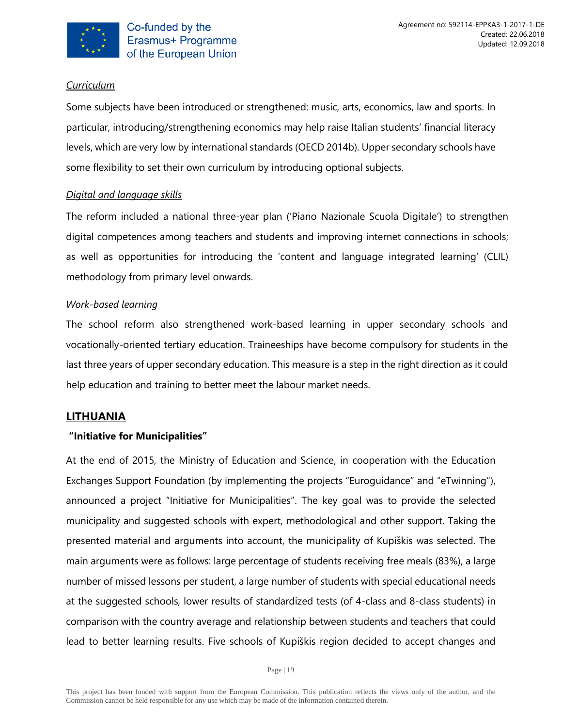

# *Curriculum*

Some subjects have been introduced or strengthened: music, arts, economics, law and sports. In particular, introducing/strengthening economics may help raise Italian students' financial literacy levels, which are very low by international standards (OECD 2014b). Upper secondary schools have some flexibility to set their own curriculum by introducing optional subjects.

# *Digital and language skills*

The reform included a national three-year plan ('Piano Nazionale Scuola Digitale') to strengthen digital competences among teachers and students and improving internet connections in schools; as well as opportunities for introducing the 'content and language integrated learning' (CLIL) methodology from primary level onwards.

# *Work-based learning*

The school reform also strengthened work-based learning in upper secondary schools and vocationally-oriented tertiary education. Traineeships have become compulsory for students in the last three years of upper secondary education. This measure is a step in the right direction as it could help education and training to better meet the labour market needs.

# <span id="page-18-0"></span>**LITHUANIA**

# **"Initiative for Municipalities"**

At the end of 2015, the Ministry of Education and Science, in cooperation with the Education Exchanges Support Foundation (by implementing the projects "Euroguidance" and "eTwinning"), announced a project "Initiative for Municipalities". The key goal was to provide the selected municipality and suggested schools with expert, methodological and other support. Taking the presented material and arguments into account, the municipality of Kupiškis was selected. The main arguments were as follows: large percentage of students receiving free meals (83%), a large number of missed lessons per student, a large number of students with special educational needs at the suggested schools, lower results of standardized tests (of 4-class and 8-class students) in comparison with the country average and relationship between students and teachers that could lead to better learning results. Five schools of Kupiškis region decided to accept changes and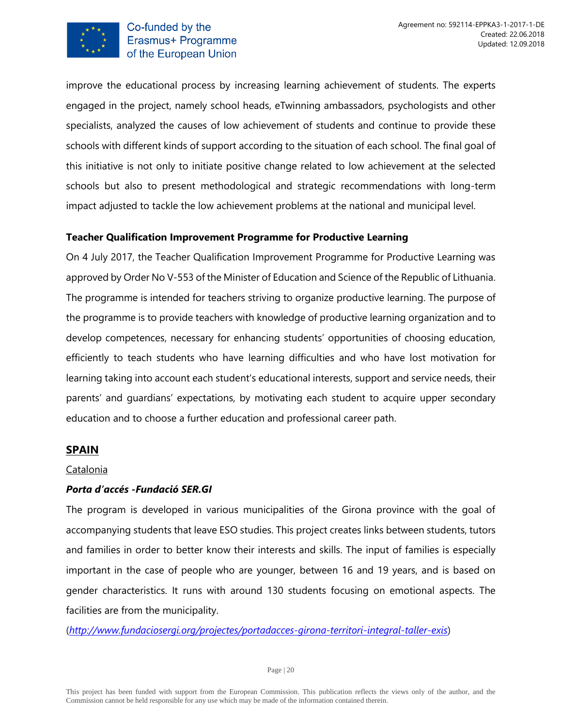

improve the educational process by increasing learning achievement of students. The experts engaged in the project, namely school heads, eTwinning ambassadors, psychologists and other specialists, analyzed the causes of low achievement of students and continue to provide these schools with different kinds of support according to the situation of each school. The final goal of this initiative is not only to initiate positive change related to low achievement at the selected schools but also to present methodological and strategic recommendations with long-term impact adjusted to tackle the low achievement problems at the national and municipal level.

#### **Teacher Qualification Improvement Programme for Productive Learning**

On 4 July 2017, the Teacher Qualification Improvement Programme for Productive Learning was approved by Order No V-553 of the Minister of Education and Science of the Republic of Lithuania. The programme is intended for teachers striving to organize productive learning. The purpose of the programme is to provide teachers with knowledge of productive learning organization and to develop competences, necessary for enhancing students' opportunities of choosing education, efficiently to teach students who have learning difficulties and who have lost motivation for learning taking into account each student's educational interests, support and service needs, their parents' and guardians' expectations, by motivating each student to acquire upper secondary education and to choose a further education and professional career path.

#### <span id="page-19-0"></span>**SPAIN**

#### Catalonia

#### *Porta d'accés -Fundació SER.GI*

The program is developed in various municipalities of the Girona province with the goal of accompanying students that leave ESO studies. This project creates links between students, tutors and families in order to better know their interests and skills. The input of families is especially important in the case of people who are younger, between 16 and 19 years, and is based on gender characteristics. It runs with around 130 students focusing on emotional aspects. The facilities are from the municipality.

(*<http://www.fundaciosergi.org/projectes/portadacces-girona-territori-integral-taller-exis>*)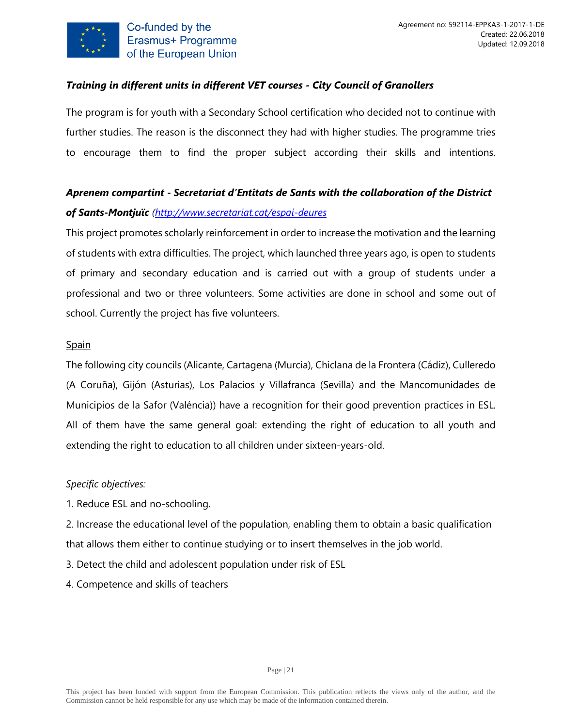

## *Training in different units in different VET courses - City Council of Granollers*

The program is for youth with a Secondary School certification who decided not to continue with further studies. The reason is the disconnect they had with higher studies. The programme tries to encourage them to find the proper subject according their skills and intentions.

# *Aprenem compartint - Secretariat d'Entitats de Sants with the collaboration of the District of Sants-Montjuïc [\(http://www.secretariat.cat/espai-deures](http://www.secretariat.cat/espai-deures)*

This project promotes scholarly reinforcement in order to increase the motivation and the learning of students with extra difficulties. The project, which launched three years ago, is open to students of primary and secondary education and is carried out with a group of students under a professional and two or three volunteers. Some activities are done in school and some out of school. Currently the project has five volunteers.

#### Spain

The following city councils (Alicante, Cartagena (Murcia), Chiclana de la Frontera (Cádiz), Culleredo (A Coruña), Gijón (Asturias), Los Palacios y Villafranca (Sevilla) and the Mancomunidades de Municipios de la Safor (Valéncia)) have a recognition for their good prevention practices in ESL. All of them have the same general goal: extending the right of education to all youth and extending the right to education to all children under sixteen-years-old.

#### *Specific objectives:*

1. Reduce ESL and no-schooling.

2. Increase the educational level of the population, enabling them to obtain a basic qualification that allows them either to continue studying or to insert themselves in the job world.

3. Detect the child and adolescent population under risk of ESL

4. Competence and skills of teachers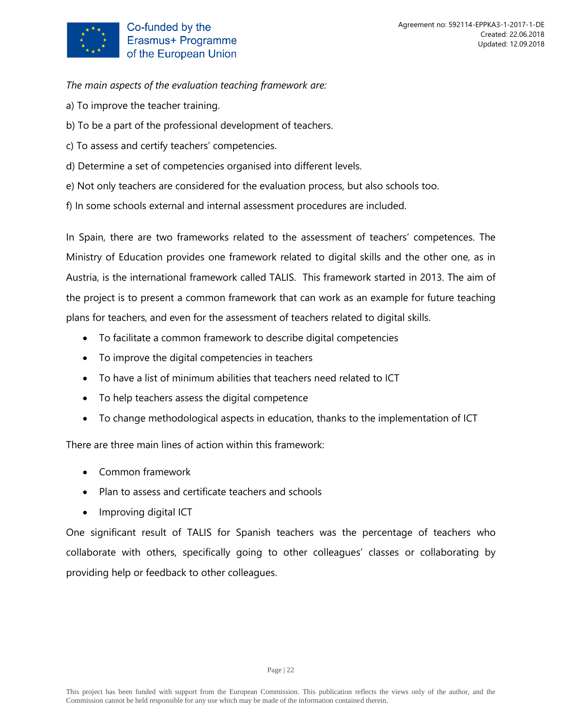

*The main aspects of the evaluation teaching framework are:* 

- a) To improve the teacher training.
- b) To be a part of the professional development of teachers.
- c) To assess and certify teachers' competencies.
- d) Determine a set of competencies organised into different levels.
- e) Not only teachers are considered for the evaluation process, but also schools too.
- f) In some schools external and internal assessment procedures are included.

In Spain, there are two frameworks related to the assessment of teachers' competences. The Ministry of Education provides one framework related to digital skills and the other one, as in Austria, is the international framework called TALIS. This framework started in 2013. The aim of the project is to present a common framework that can work as an example for future teaching plans for teachers, and even for the assessment of teachers related to digital skills.

- To facilitate a common framework to describe digital competencies
- To improve the digital competencies in teachers
- To have a list of minimum abilities that teachers need related to ICT
- To help teachers assess the digital competence
- To change methodological aspects in education, thanks to the implementation of ICT

There are three main lines of action within this framework:

- Common framework
- Plan to assess and certificate teachers and schools
- Improving digital ICT

One significant result of TALIS for Spanish teachers was the percentage of teachers who collaborate with others, specifically going to other colleagues' classes or collaborating by providing help or feedback to other colleagues.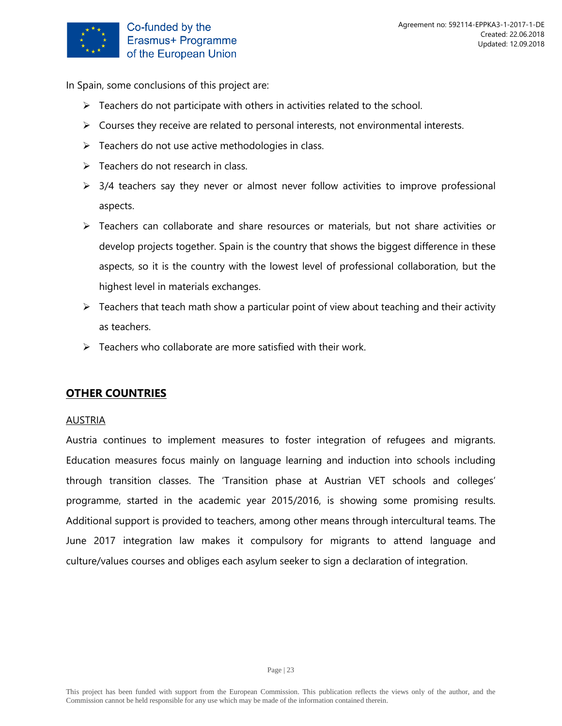

In Spain, some conclusions of this project are:

- $\triangleright$  Teachers do not participate with others in activities related to the school.
- $\triangleright$  Courses they receive are related to personal interests, not environmental interests.
- $\triangleright$  Teachers do not use active methodologies in class.
- $\triangleright$  Teachers do not research in class.
- $\geq$  3/4 teachers say they never or almost never follow activities to improve professional aspects.
- ➢ Teachers can collaborate and share resources or materials, but not share activities or develop projects together. Spain is the country that shows the biggest difference in these aspects, so it is the country with the lowest level of professional collaboration, but the highest level in materials exchanges.
- $\triangleright$  Teachers that teach math show a particular point of view about teaching and their activity as teachers.
- $\triangleright$  Teachers who collaborate are more satisfied with their work.

#### <span id="page-22-0"></span>**OTHER COUNTRIES**

#### AUSTRIA

Austria continues to implement measures to foster integration of refugees and migrants. Education measures focus mainly on language learning and induction into schools including through transition classes. The 'Transition phase at Austrian VET schools and colleges' programme, started in the academic year 2015/2016, is showing some promising results. Additional support is provided to teachers, among other means through intercultural teams. The June 2017 integration law makes it compulsory for migrants to attend language and culture/values courses and obliges each asylum seeker to sign a declaration of integration.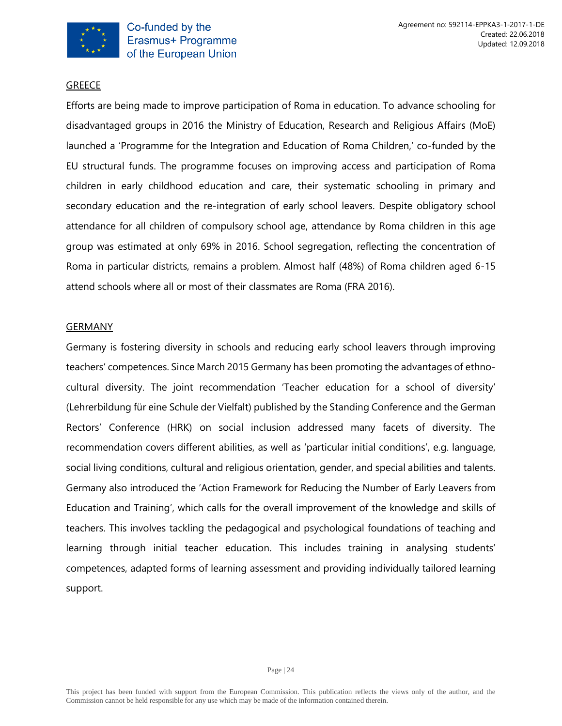

#### **GREECE**

Efforts are being made to improve participation of Roma in education. To advance schooling for disadvantaged groups in 2016 the Ministry of Education, Research and Religious Affairs (MoE) launched a 'Programme for the Integration and Education of Roma Children,' co-funded by the EU structural funds. The programme focuses on improving access and participation of Roma children in early childhood education and care, their systematic schooling in primary and secondary education and the re-integration of early school leavers. Despite obligatory school attendance for all children of compulsory school age, attendance by Roma children in this age group was estimated at only 69% in 2016. School segregation, reflecting the concentration of Roma in particular districts, remains a problem. Almost half (48%) of Roma children aged 6-15 attend schools where all or most of their classmates are Roma (FRA 2016).

#### **GERMANY**

Germany is fostering diversity in schools and reducing early school leavers through improving teachers' competences. Since March 2015 Germany has been promoting the advantages of ethnocultural diversity. The joint recommendation 'Teacher education for a school of diversity' (Lehrerbildung für eine Schule der Vielfalt) published by the Standing Conference and the German Rectors' Conference (HRK) on social inclusion addressed many facets of diversity. The recommendation covers different abilities, as well as 'particular initial conditions', e.g. language, social living conditions, cultural and religious orientation, gender, and special abilities and talents. Germany also introduced the 'Action Framework for Reducing the Number of Early Leavers from Education and Training', which calls for the overall improvement of the knowledge and skills of teachers. This involves tackling the pedagogical and psychological foundations of teaching and learning through initial teacher education. This includes training in analysing students' competences, adapted forms of learning assessment and providing individually tailored learning support.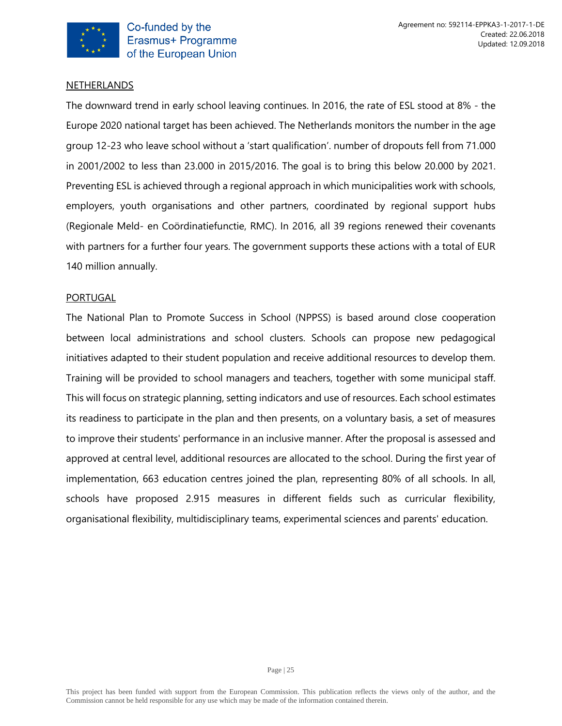

#### **NETHERLANDS**

The downward trend in early school leaving continues. In 2016, the rate of ESL stood at 8% - the Europe 2020 national target has been achieved. The Netherlands monitors the number in the age group 12-23 who leave school without a 'start qualification'. number of dropouts fell from 71.000 in 2001/2002 to less than 23.000 in 2015/2016. The goal is to bring this below 20.000 by 2021. Preventing ESL is achieved through a regional approach in which municipalities work with schools, employers, youth organisations and other partners, coordinated by regional support hubs (Regionale Meld- en Coördinatiefunctie, RMC). In 2016, all 39 regions renewed their covenants with partners for a further four years. The government supports these actions with a total of EUR 140 million annually.

#### PORTUGAL

The National Plan to Promote Success in School (NPPSS) is based around close cooperation between local administrations and school clusters. Schools can propose new pedagogical initiatives adapted to their student population and receive additional resources to develop them. Training will be provided to school managers and teachers, together with some municipal staff. This will focus on strategic planning, setting indicators and use of resources. Each school estimates its readiness to participate in the plan and then presents, on a voluntary basis, a set of measures to improve their students' performance in an inclusive manner. After the proposal is assessed and approved at central level, additional resources are allocated to the school. During the first year of implementation, 663 education centres joined the plan, representing 80% of all schools. In all, schools have proposed 2.915 measures in different fields such as curricular flexibility, organisational flexibility, multidisciplinary teams, experimental sciences and parents' education.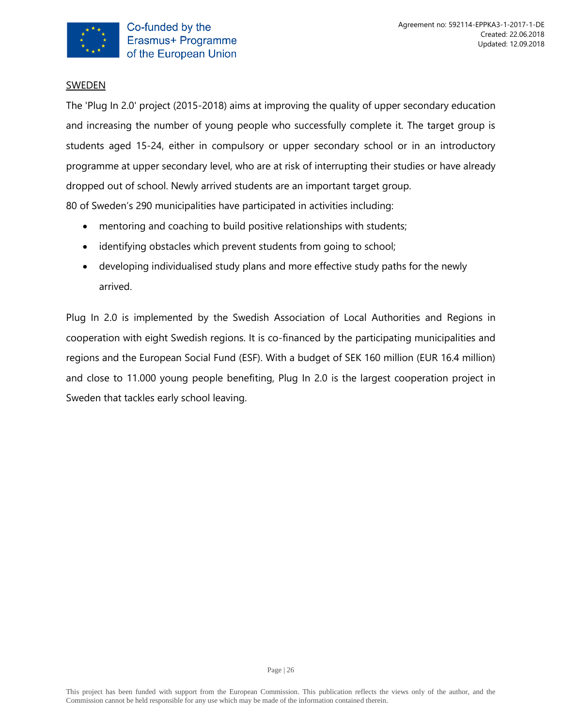

#### **SWEDEN**

The 'Plug In 2.0' project (2015-2018) aims at improving the quality of upper secondary education and increasing the number of young people who successfully complete it. The target group is students aged 15-24, either in compulsory or upper secondary school or in an introductory programme at upper secondary level, who are at risk of interrupting their studies or have already dropped out of school. Newly arrived students are an important target group.

80 of Sweden's 290 municipalities have participated in activities including:

- mentoring and coaching to build positive relationships with students;
- identifying obstacles which prevent students from going to school;
- developing individualised study plans and more effective study paths for the newly arrived.

Plug In 2.0 is implemented by the Swedish Association of Local Authorities and Regions in cooperation with eight Swedish regions. It is co-financed by the participating municipalities and regions and the European Social Fund (ESF). With a budget of SEK 160 million (EUR 16.4 million) and close to 11.000 young people benefiting, Plug In 2.0 is the largest cooperation project in Sweden that tackles early school leaving.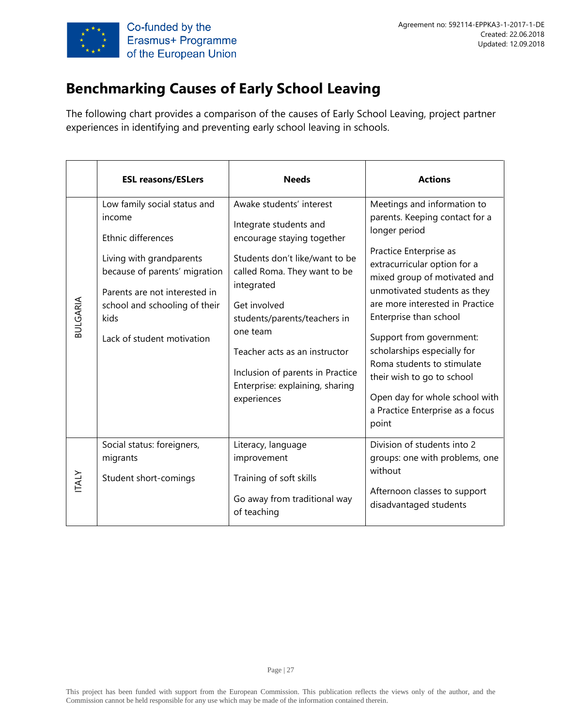

# **Benchmarking Causes of Early School Leaving**

The following chart provides a comparison of the causes of Early School Leaving, project partner experiences in identifying and preventing early school leaving in schools.

|                 | <b>ESL reasons/ESLers</b>                                                                                                                                                                                                         | <b>Needs</b>                                                                                                                                                                                                                                                                                                                                        | <b>Actions</b>                                                                                                                                                                                                                                                                                                                                                                                                                                                              |
|-----------------|-----------------------------------------------------------------------------------------------------------------------------------------------------------------------------------------------------------------------------------|-----------------------------------------------------------------------------------------------------------------------------------------------------------------------------------------------------------------------------------------------------------------------------------------------------------------------------------------------------|-----------------------------------------------------------------------------------------------------------------------------------------------------------------------------------------------------------------------------------------------------------------------------------------------------------------------------------------------------------------------------------------------------------------------------------------------------------------------------|
| <b>BULGARIA</b> | Low family social status and<br>income<br>Ethnic differences<br>Living with grandparents<br>because of parents' migration<br>Parents are not interested in<br>school and schooling of their<br>kids<br>Lack of student motivation | Awake students' interest<br>Integrate students and<br>encourage staying together<br>Students don't like/want to be<br>called Roma. They want to be<br>integrated<br>Get involved<br>students/parents/teachers in<br>one team<br>Teacher acts as an instructor<br>Inclusion of parents in Practice<br>Enterprise: explaining, sharing<br>experiences | Meetings and information to<br>parents. Keeping contact for a<br>longer period<br>Practice Enterprise as<br>extracurricular option for a<br>mixed group of motivated and<br>unmotivated students as they<br>are more interested in Practice<br>Enterprise than school<br>Support from government:<br>scholarships especially for<br>Roma students to stimulate<br>their wish to go to school<br>Open day for whole school with<br>a Practice Enterprise as a focus<br>point |
| <b>TALY</b>     | Social status: foreigners,<br>migrants<br>Student short-comings                                                                                                                                                                   | Literacy, language<br>improvement<br>Training of soft skills<br>Go away from traditional way<br>of teaching                                                                                                                                                                                                                                         | Division of students into 2<br>groups: one with problems, one<br>without<br>Afternoon classes to support<br>disadvantaged students                                                                                                                                                                                                                                                                                                                                          |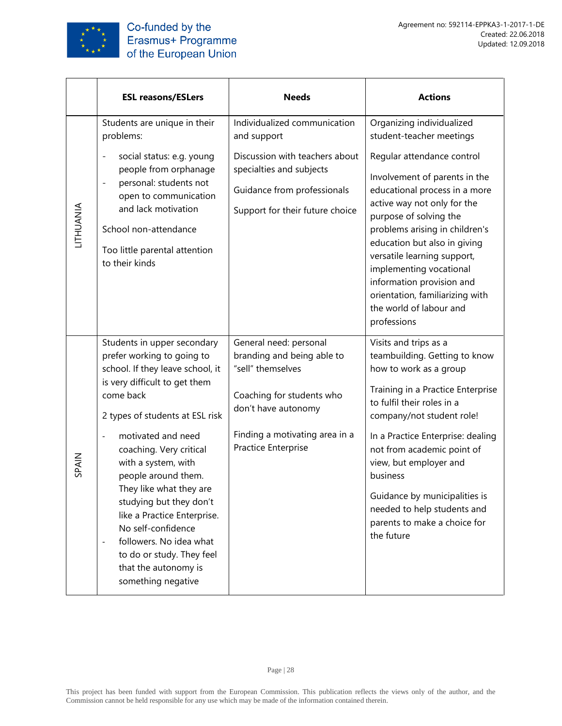

|           | <b>ESL reasons/ESLers</b>                                                                                                                                                                                                                                                                                                                                                                                                                                                                                                      | <b>Needs</b>                                                                                                                                                                           | <b>Actions</b>                                                                                                                                                                                                                                                                                                                                                                                          |
|-----------|--------------------------------------------------------------------------------------------------------------------------------------------------------------------------------------------------------------------------------------------------------------------------------------------------------------------------------------------------------------------------------------------------------------------------------------------------------------------------------------------------------------------------------|----------------------------------------------------------------------------------------------------------------------------------------------------------------------------------------|---------------------------------------------------------------------------------------------------------------------------------------------------------------------------------------------------------------------------------------------------------------------------------------------------------------------------------------------------------------------------------------------------------|
|           | Students are unique in their<br>problems:                                                                                                                                                                                                                                                                                                                                                                                                                                                                                      | Individualized communication<br>and support                                                                                                                                            | Organizing individualized<br>student-teacher meetings                                                                                                                                                                                                                                                                                                                                                   |
| LITHUANIA | social status: e.g. young<br>$\overline{\phantom{0}}$<br>people from orphanage<br>personal: students not<br>$\overline{a}$<br>open to communication<br>and lack motivation<br>School non-attendance<br>Too little parental attention<br>to their kinds                                                                                                                                                                                                                                                                         | Discussion with teachers about<br>specialties and subjects<br>Guidance from professionals<br>Support for their future choice                                                           | Regular attendance control<br>Involvement of parents in the<br>educational process in a more<br>active way not only for the<br>purpose of solving the<br>problems arising in children's<br>education but also in giving<br>versatile learning support,<br>implementing vocational<br>information provision and<br>orientation, familiarizing with<br>the world of labour and<br>professions             |
| SPAIN     | Students in upper secondary<br>prefer working to going to<br>school. If they leave school, it<br>is very difficult to get them<br>come back<br>2 types of students at ESL risk<br>motivated and need<br>coaching. Very critical<br>with a system, with<br>people around them.<br>They like what they are<br>studying but they don't<br>like a Practice Enterprise.<br>No self-confidence<br>followers. No idea what<br>$\qquad \qquad \blacksquare$<br>to do or study. They feel<br>that the autonomy is<br>something negative | General need: personal<br>branding and being able to<br>"sell" themselves<br>Coaching for students who<br>don't have autonomy<br>Finding a motivating area in a<br>Practice Enterprise | Visits and trips as a<br>teambuilding. Getting to know<br>how to work as a group<br>Training in a Practice Enterprise<br>to fulfil their roles in a<br>company/not student role!<br>In a Practice Enterprise: dealing<br>not from academic point of<br>view, but employer and<br>business<br>Guidance by municipalities is<br>needed to help students and<br>parents to make a choice for<br>the future |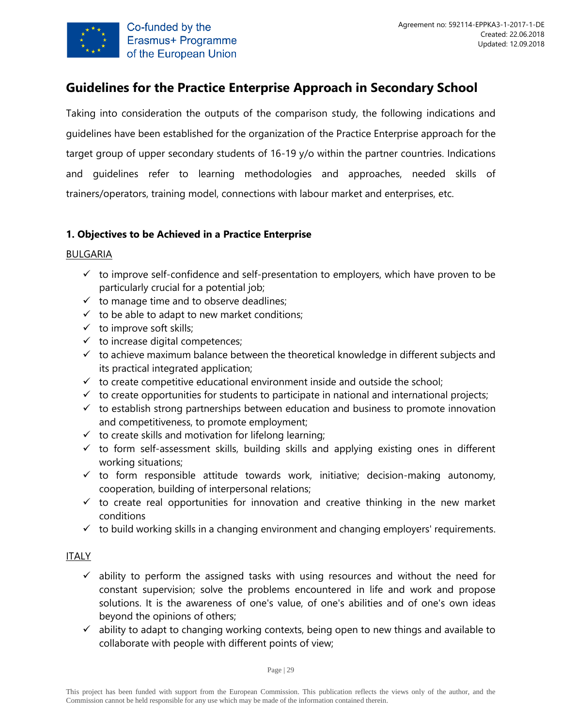

# <span id="page-28-0"></span>**Guidelines for the Practice Enterprise Approach in Secondary School**

Taking into consideration the outputs of the comparison study, the following indications and guidelines have been established for the organization of the Practice Enterprise approach for the target group of upper secondary students of 16-19 y/o within the partner countries. Indications and guidelines refer to learning methodologies and approaches, needed skills of trainers/operators, training model, connections with labour market and enterprises, etc.

# **1. Objectives to be Achieved in a Practice Enterprise**

#### BULGARIA

- $\checkmark$  to improve self-confidence and self-presentation to employers, which have proven to be particularly crucial for a potential job;
- $\checkmark$  to manage time and to observe deadlines;
- $\checkmark$  to be able to adapt to new market conditions;
- $\checkmark$  to improve soft skills;
- $\checkmark$  to increase digital competences;
- $\checkmark$  to achieve maximum balance between the theoretical knowledge in different subjects and its practical integrated application;
- $\checkmark$  to create competitive educational environment inside and outside the school;
- $\checkmark$  to create opportunities for students to participate in national and international projects;
- $\checkmark$  to establish strong partnerships between education and business to promote innovation and competitiveness, to promote employment;
- $\checkmark$  to create skills and motivation for lifelong learning;
- $\checkmark$  to form self-assessment skills, building skills and applying existing ones in different working situations;
- $\checkmark$  to form responsible attitude towards work, initiative; decision-making autonomy, cooperation, building of interpersonal relations;
- $\checkmark$  to create real opportunities for innovation and creative thinking in the new market conditions
- $\checkmark$  to build working skills in a changing environment and changing employers' requirements.

#### ITALY

- $\checkmark$  ability to perform the assigned tasks with using resources and without the need for constant supervision; solve the problems encountered in life and work and propose solutions. It is the awareness of one's value, of one's abilities and of one's own ideas beyond the opinions of others;
- $\checkmark$  ability to adapt to changing working contexts, being open to new things and available to collaborate with people with different points of view;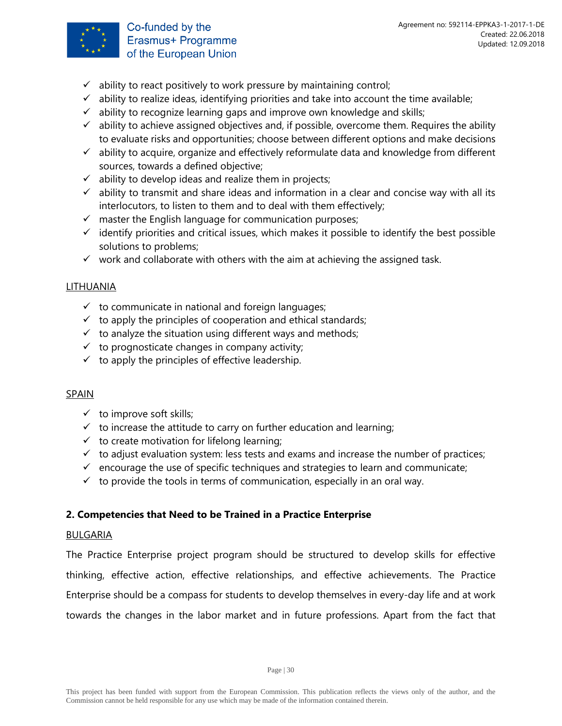

Co-funded by the Erasmus+ Programme of the European Union

- $\checkmark$  ability to react positively to work pressure by maintaining control;
- $\checkmark$  ability to realize ideas, identifying priorities and take into account the time available;
- $\checkmark$  ability to recognize learning gaps and improve own knowledge and skills;
- $\checkmark$  ability to achieve assigned objectives and, if possible, overcome them. Requires the ability to evaluate risks and opportunities; choose between different options and make decisions
- $\checkmark$  ability to acquire, organize and effectively reformulate data and knowledge from different sources, towards a defined objective;
- $\checkmark$  ability to develop ideas and realize them in projects;
- $\checkmark$  ability to transmit and share ideas and information in a clear and concise way with all its interlocutors, to listen to them and to deal with them effectively;
- $\checkmark$  master the English language for communication purposes;
- $\checkmark$  identify priorities and critical issues, which makes it possible to identify the best possible solutions to problems;
- $\checkmark$  work and collaborate with others with the aim at achieving the assigned task.

#### LITHUANIA

- $\checkmark$  to communicate in national and foreign languages;
- $\checkmark$  to apply the principles of cooperation and ethical standards;
- $\checkmark$  to analyze the situation using different ways and methods;
- $\checkmark$  to prognosticate changes in company activity;
- $\checkmark$  to apply the principles of effective leadership.

#### SPAIN

- $\checkmark$  to improve soft skills;
- $\checkmark$  to increase the attitude to carry on further education and learning;
- $\checkmark$  to create motivation for lifelong learning;
- $\checkmark$  to adjust evaluation system: less tests and exams and increase the number of practices;
- $\checkmark$  encourage the use of specific techniques and strategies to learn and communicate;
- $\checkmark$  to provide the tools in terms of communication, especially in an oral way.

#### **2. Competencies that Need to be Trained in a Practice Enterprise**

#### BULGARIA

The Practice Enterprise project program should be structured to develop skills for effective thinking, effective action, effective relationships, and effective achievements. The Practice Enterprise should be a compass for students to develop themselves in every-day life and at work towards the changes in the labor market and in future professions. Apart from the fact that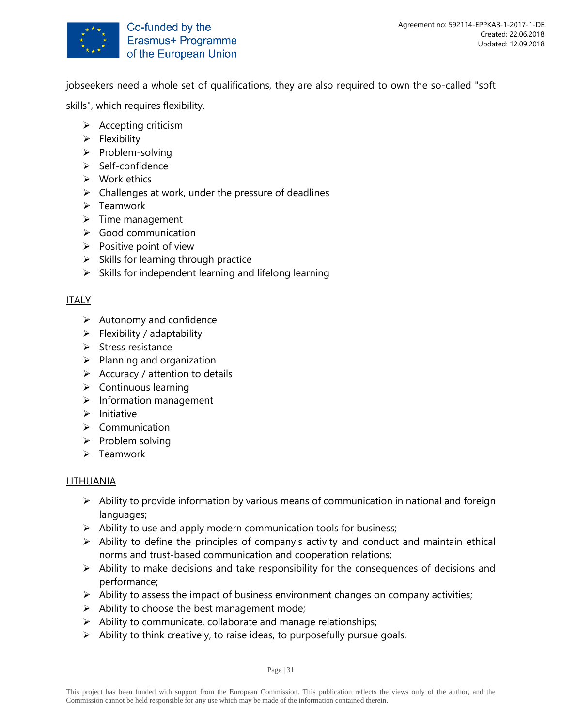

jobseekers need a whole set of qualifications, they are also required to own the so-called "soft

skills", which requires flexibility.

- ➢ Accepting criticism
- ➢ Flexibility
- ➢ Problem-solving
- ➢ Self-confidence
- ➢ Work ethics
- $\triangleright$  Challenges at work, under the pressure of deadlines
- ➢ Teamwork
- ➢ Time management
- ➢ Good communication
- $\triangleright$  Positive point of view
- $\triangleright$  Skills for learning through practice
- $\triangleright$  Skills for independent learning and lifelong learning

#### ITALY

- $\triangleright$  Autonomy and confidence
- $\triangleright$  Flexibility / adaptability
- ➢ Stress resistance
- $\triangleright$  Planning and organization
- $\triangleright$  Accuracy / attention to details
- ➢ Continuous learning
- ➢ Information management
- ➢ Initiative
- ➢ Communication
- ➢ Problem solving
- ➢ Teamwork

#### LITHUANIA

- ➢ Ability to provide information by various means of communication in national and foreign languages;
- $\triangleright$  Ability to use and apply modern communication tools for business;
- $\triangleright$  Ability to define the principles of company's activity and conduct and maintain ethical norms and trust-based communication and cooperation relations;
- $\triangleright$  Ability to make decisions and take responsibility for the consequences of decisions and performance;
- $\triangleright$  Ability to assess the impact of business environment changes on company activities;
- $\triangleright$  Ability to choose the best management mode;
- ➢ Ability to communicate, collaborate and manage relationships;
- $\triangleright$  Ability to think creatively, to raise ideas, to purposefully pursue goals.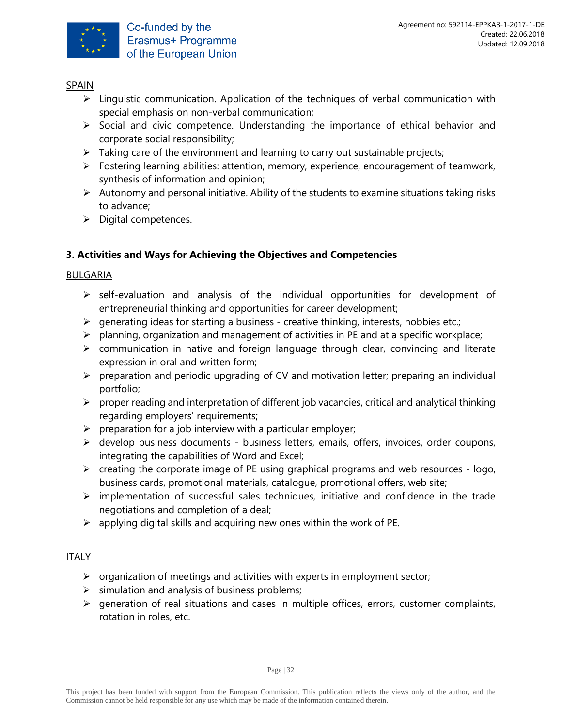

# SPAIN

- ➢ Linguistic communication. Application of the techniques of verbal communication with special emphasis on non-verbal communication;
- ➢ Social and civic competence. Understanding the importance of ethical behavior and corporate social responsibility;
- $\triangleright$  Taking care of the environment and learning to carry out sustainable projects;
- ➢ Fostering learning abilities: attention, memory, experience, encouragement of teamwork, synthesis of information and opinion;
- $\triangleright$  Autonomy and personal initiative. Ability of the students to examine situations taking risks to advance;
- ➢ Digital competences.

# **3. Activities and Ways for Achieving the Objectives and Competencies**

# BULGARIA

- ➢ self-evaluation and analysis of the individual opportunities for development of entrepreneurial thinking and opportunities for career development;
- $\triangleright$  generating ideas for starting a business creative thinking, interests, hobbies etc.;
- $\triangleright$  planning, organization and management of activities in PE and at a specific workplace;
- $\triangleright$  communication in native and foreign language through clear, convincing and literate expression in oral and written form;
- ➢ preparation and periodic upgrading of CV and motivation letter; preparing an individual portfolio;
- $\triangleright$  proper reading and interpretation of different job vacancies, critical and analytical thinking regarding employers' requirements;
- $\triangleright$  preparation for a job interview with a particular employer;
- $\triangleright$  develop business documents business letters, emails, offers, invoices, order coupons, integrating the capabilities of Word and Excel;
- $\triangleright$  creating the corporate image of PE using graphical programs and web resources logo, business cards, promotional materials, catalogue, promotional offers, web site;
- ➢ implementation of successful sales techniques, initiative and confidence in the trade negotiations and completion of a deal;
- $\triangleright$  applying digital skills and acquiring new ones within the work of PE.

# ITALY

- $\triangleright$  organization of meetings and activities with experts in employment sector;
- $\triangleright$  simulation and analysis of business problems;
- ➢ generation of real situations and cases in multiple offices, errors, customer complaints, rotation in roles, etc.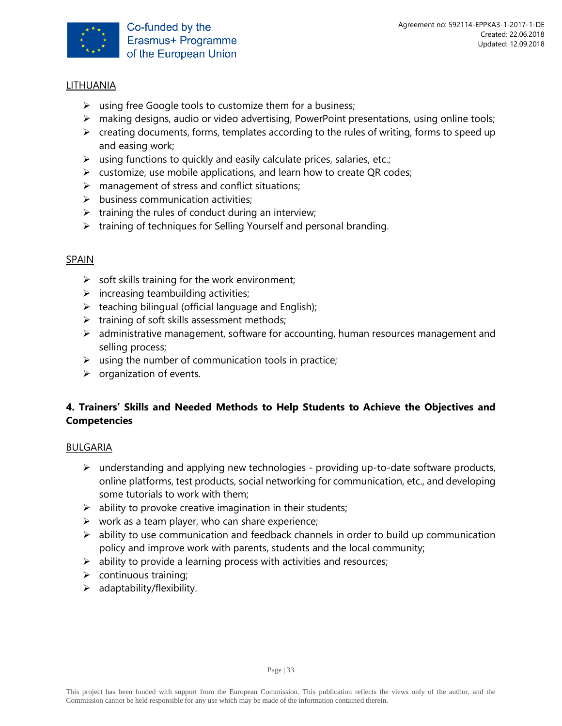

# LITHUANIA

- $\triangleright$  using free Google tools to customize them for a business;
- ➢ making designs, audio or video advertising, PowerPoint presentations, using online tools;
- $\triangleright$  creating documents, forms, templates according to the rules of writing, forms to speed up and easing work;
- $\triangleright$  using functions to quickly and easily calculate prices, salaries, etc.;
- $\triangleright$  customize, use mobile applications, and learn how to create QR codes;
- $\triangleright$  management of stress and conflict situations;
- $\triangleright$  business communication activities;
- $\triangleright$  training the rules of conduct during an interview;
- ➢ training of techniques for Selling Yourself and personal branding.

#### SPAIN

- $\triangleright$  soft skills training for the work environment;
- $\triangleright$  increasing teambuilding activities;
- $\triangleright$  teaching bilingual (official language and English);
- $\triangleright$  training of soft skills assessment methods;
- $\triangleright$  administrative management, software for accounting, human resources management and selling process;
- $\triangleright$  using the number of communication tools in practice;
- $\triangleright$  organization of events.

# **4. Trainers' Skills and Needed Methods to Help Students to Achieve the Objectives and Competencies**

#### BULGARIA

- $\triangleright$  understanding and applying new technologies providing up-to-date software products, online platforms, test products, social networking for communication, etc., and developing some tutorials to work with them;
- $\triangleright$  ability to provoke creative imagination in their students;
- $\triangleright$  work as a team player, who can share experience;
- $\triangleright$  ability to use communication and feedback channels in order to build up communication policy and improve work with parents, students and the local community;
- $\triangleright$  ability to provide a learning process with activities and resources;
- $\triangleright$  continuous training;
- $\triangleright$  adaptability/flexibility.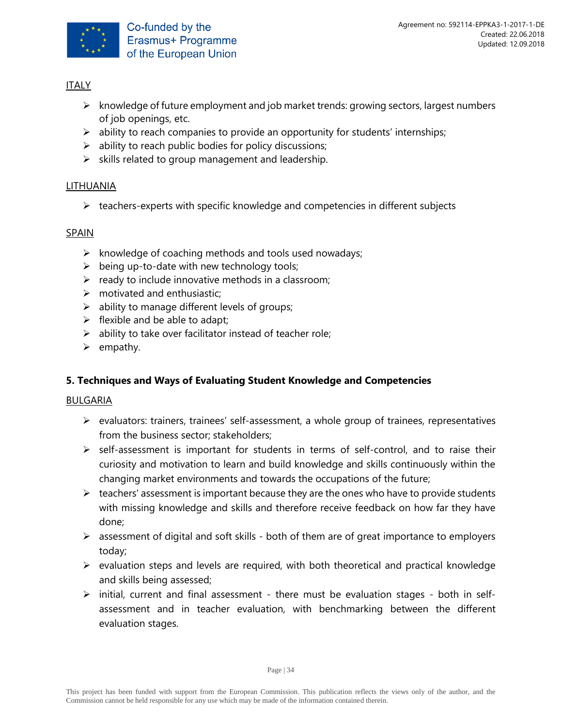

- ➢ knowledge of future employment and job market trends: growing sectors, largest numbers of job openings, etc.
- $\triangleright$  ability to reach companies to provide an opportunity for students' internships;
- $\triangleright$  ability to reach public bodies for policy discussions;
- $\triangleright$  skills related to group management and leadership.

# LITHUANIA

➢ teachers-experts with specific knowledge and competencies in different subjects

# SPAIN

- $\triangleright$  knowledge of coaching methods and tools used nowadays;
- $\triangleright$  being up-to-date with new technology tools;
- $\triangleright$  ready to include innovative methods in a classroom;
- $\triangleright$  motivated and enthusiastic;
- $\triangleright$  ability to manage different levels of groups;
- $\triangleright$  flexible and be able to adapt;
- $\triangleright$  ability to take over facilitator instead of teacher role:
- ➢ empathy.

# **5. Techniques and Ways of Evaluating Student Knowledge and Competencies**

# BULGARIA

- ➢ evaluators: trainers, trainees' self-assessment, a whole group of trainees, representatives from the business sector; stakeholders;
- $\triangleright$  self-assessment is important for students in terms of self-control, and to raise their curiosity and motivation to learn and build knowledge and skills continuously within the changing market environments and towards the occupations of the future;
- $\triangleright$  teachers' assessment is important because they are the ones who have to provide students with missing knowledge and skills and therefore receive feedback on how far they have done;
- ➢ assessment of digital and soft skills both of them are of great importance to employers today;
- $\triangleright$  evaluation steps and levels are required, with both theoretical and practical knowledge and skills being assessed;
- ➢ initial, current and final assessment there must be evaluation stages both in selfassessment and in teacher evaluation, with benchmarking between the different evaluation stages.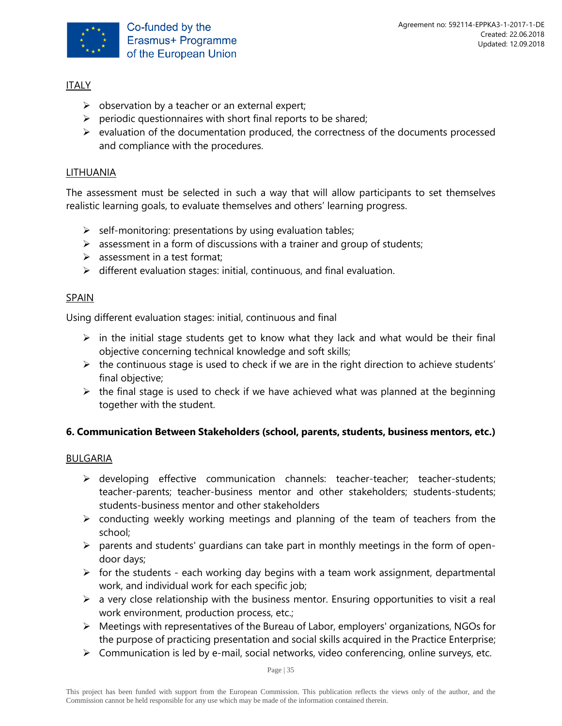

- $\triangleright$  observation by a teacher or an external expert;
- $\triangleright$  periodic questionnaires with short final reports to be shared;
- $\triangleright$  evaluation of the documentation produced, the correctness of the documents processed and compliance with the procedures.

# LITHUANIA

The assessment must be selected in such a way that will allow participants to set themselves realistic learning goals, to evaluate themselves and others' learning progress.

- $\triangleright$  self-monitoring: presentations by using evaluation tables;
- $\triangleright$  assessment in a form of discussions with a trainer and group of students;
- $\triangleright$  assessment in a test format;
- $\triangleright$  different evaluation stages: initial, continuous, and final evaluation.

# SPAIN

Using different evaluation stages: initial, continuous and final

- $\triangleright$  in the initial stage students get to know what they lack and what would be their final objective concerning technical knowledge and soft skills;
- $\triangleright$  the continuous stage is used to check if we are in the right direction to achieve students' final objective;
- $\triangleright$  the final stage is used to check if we have achieved what was planned at the beginning together with the student.

# **6. Communication Between Stakeholders (school, parents, students, business mentors, etc.)**

#### BULGARIA

- ➢ developing effective communication channels: teacher-teacher; teacher-students; teacher-parents; teacher-business mentor and other stakeholders; students-students; students-business mentor and other stakeholders
- $\triangleright$  conducting weekly working meetings and planning of the team of teachers from the school;
- $\triangleright$  parents and students' guardians can take part in monthly meetings in the form of opendoor days;
- $\triangleright$  for the students each working day begins with a team work assignment, departmental work, and individual work for each specific job;
- $\triangleright$  a very close relationship with the business mentor. Ensuring opportunities to visit a real work environment, production process, etc.;
- ➢ Meetings with representatives of the Bureau of Labor, employers' organizations, NGOs for the purpose of practicing presentation and social skills acquired in the Practice Enterprise;
- ➢ Communication is led by e-mail, social networks, video conferencing, online surveys, etc.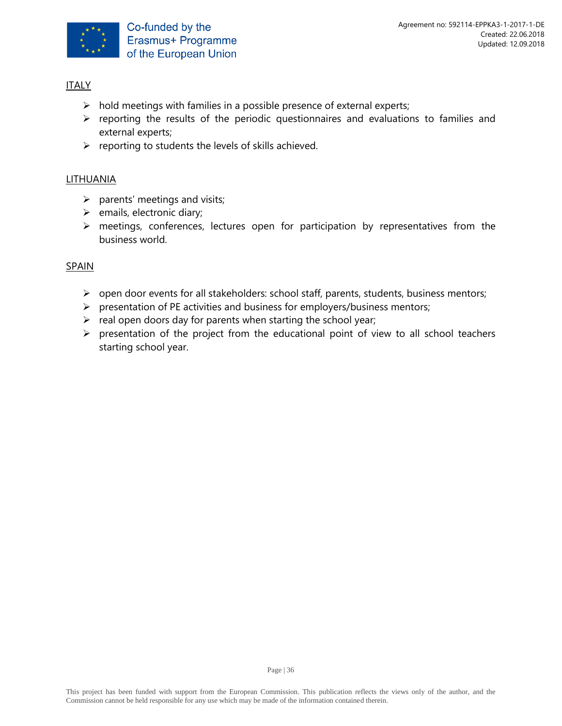

- $\triangleright$  hold meetings with families in a possible presence of external experts;
- ➢ reporting the results of the periodic questionnaires and evaluations to families and external experts;
- ➢ reporting to students the levels of skills achieved.

# LITHUANIA

- $\triangleright$  parents' meetings and visits;
- $\triangleright$  emails, electronic diary;
- ➢ meetings, conferences, lectures open for participation by representatives from the business world.

# SPAIN

- ➢ open door events for all stakeholders: school staff, parents, students, business mentors;
- ➢ presentation of PE activities and business for employers/business mentors;
- $\triangleright$  real open doors day for parents when starting the school year;
- ➢ presentation of the project from the educational point of view to all school teachers starting school year.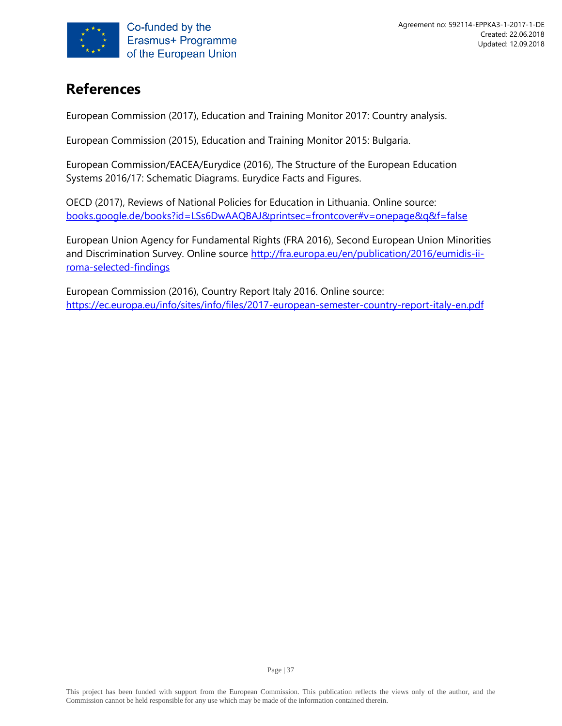

# <span id="page-36-0"></span>**References**

European Commission (2017), Education and Training Monitor 2017: Country analysis.

European Commission (2015), Education and Training Monitor 2015: Bulgaria.

European Commission/EACEA/Eurydice (2016), The Structure of the European Education Systems 2016/17: Schematic Diagrams. Eurydice Facts and Figures.

OECD (2017), Reviews of National Policies for Education in Lithuania. Online source: [books.google.de/books?id=LSs6DwAAQBAJ&printsec=frontcover#v=onepage&q&f=false](https://books.google.de/books?id=LSs6DwAAQBAJ&printsec=frontcover#v=onepage&q&f=false)

European Union Agency for Fundamental Rights (FRA 2016), Second European Union Minorities and Discrimination Survey. Online source [http://fra.europa.eu/en/publication/2016/eumidis-ii](http://fra.europa.eu/en/publication/2016/eumidis-ii-roma-selected-findings)[roma-selected-findings](http://fra.europa.eu/en/publication/2016/eumidis-ii-roma-selected-findings)

European Commission (2016), Country Report Italy 2016. Online source: <https://ec.europa.eu/info/sites/info/files/2017-european-semester-country-report-italy-en.pdf>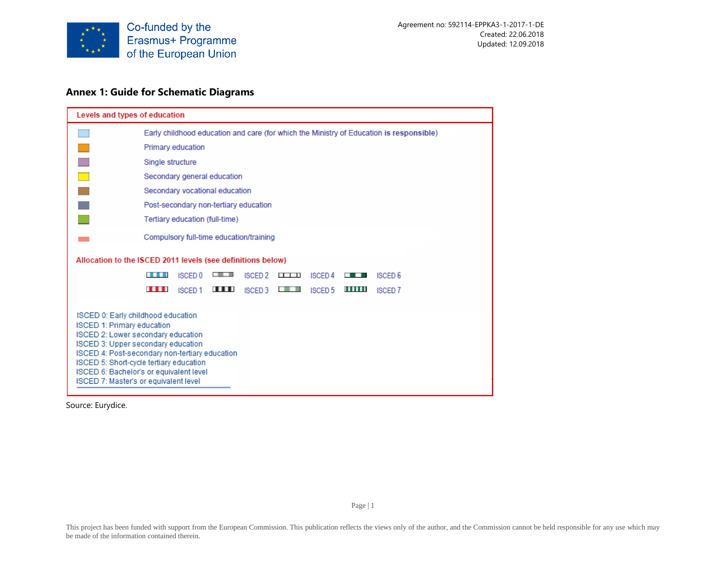

#### **Annex 1: Guide for Schematic Diagrams**

| Levels and types of education                                                                                                                                                                                                                                                                                                        |                                                                                                                                     |  |  |  |  |  |  |  |  |  |  |  |  |  |
|--------------------------------------------------------------------------------------------------------------------------------------------------------------------------------------------------------------------------------------------------------------------------------------------------------------------------------------|-------------------------------------------------------------------------------------------------------------------------------------|--|--|--|--|--|--|--|--|--|--|--|--|--|
|                                                                                                                                                                                                                                                                                                                                      | Early childhood education and care (for which the Ministry of Education is responsible)                                             |  |  |  |  |  |  |  |  |  |  |  |  |  |
|                                                                                                                                                                                                                                                                                                                                      | Primary education                                                                                                                   |  |  |  |  |  |  |  |  |  |  |  |  |  |
|                                                                                                                                                                                                                                                                                                                                      | Single structure                                                                                                                    |  |  |  |  |  |  |  |  |  |  |  |  |  |
|                                                                                                                                                                                                                                                                                                                                      | Secondary general education                                                                                                         |  |  |  |  |  |  |  |  |  |  |  |  |  |
|                                                                                                                                                                                                                                                                                                                                      | Secondary vocational education                                                                                                      |  |  |  |  |  |  |  |  |  |  |  |  |  |
|                                                                                                                                                                                                                                                                                                                                      | Post-secondary non-tertiary education                                                                                               |  |  |  |  |  |  |  |  |  |  |  |  |  |
|                                                                                                                                                                                                                                                                                                                                      | Tertiary education (full-time)                                                                                                      |  |  |  |  |  |  |  |  |  |  |  |  |  |
|                                                                                                                                                                                                                                                                                                                                      | Compulsory full-time education/training                                                                                             |  |  |  |  |  |  |  |  |  |  |  |  |  |
|                                                                                                                                                                                                                                                                                                                                      | Allocation to the ISCED 2011 levels (see definitions below)                                                                         |  |  |  |  |  |  |  |  |  |  |  |  |  |
|                                                                                                                                                                                                                                                                                                                                      | ■ ■ ■ ■ ■ ■<br><b>ISCED 0</b><br>.<br><b>ISCED 2</b><br><b>ISCED 4</b><br><b>ISCED 6</b><br>$\blacksquare$<br><b>BOTTOM COMPANY</b> |  |  |  |  |  |  |  |  |  |  |  |  |  |
|                                                                                                                                                                                                                                                                                                                                      | $\blacksquare$<br><b>.</b><br>''''''<br><b>ISCED1</b><br>ISCED 3<br>2回 藤原<br>ISCED 5<br><b>ISCED 7</b>                              |  |  |  |  |  |  |  |  |  |  |  |  |  |
| ISCED 0: Early childhood education<br><b>ISCED 1: Primary education</b><br>ISCED 2: Lower secondary education<br>ISCED 3: Upper secondary education<br>ISCED 4: Post-secondary non-tertiary education<br>ISCED 5: Short-cycle tertiary education<br>ISCED 6: Bachelor's or equivalent level<br>ISCED 7: Master's or equivalent level |                                                                                                                                     |  |  |  |  |  |  |  |  |  |  |  |  |  |

Source: Eurydice.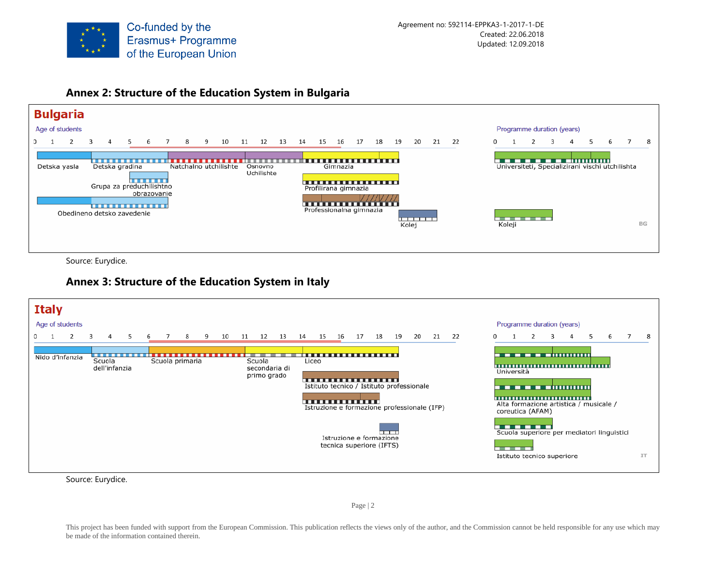

#### **Annex 2: Structure of the Education System in Bulgaria**



Source: Eurydice.

# **Annex 3: Structure of the Education System in Italy**

| <b>Italy</b> |                 |                         |   |   |                 |   |    |        |                              |    |                                                                                                                                               |    |                                                     |     |       |    |       |          |                                                |    |                                                                                             |   |                                            |                |           |
|--------------|-----------------|-------------------------|---|---|-----------------|---|----|--------|------------------------------|----|-----------------------------------------------------------------------------------------------------------------------------------------------|----|-----------------------------------------------------|-----|-------|----|-------|----------|------------------------------------------------|----|---------------------------------------------------------------------------------------------|---|--------------------------------------------|----------------|-----------|
|              | Age of students |                         |   |   |                 |   |    |        |                              |    |                                                                                                                                               |    |                                                     |     |       |    |       |          |                                                |    | Programme duration (years)                                                                  |   |                                            |                |           |
|              |                 | 3                       | 5 | 6 | 8               | 9 | 10 | 11 12  | 13                           | 14 | 15                                                                                                                                            | 16 | 17                                                  |     | 18 19 | 20 | 21 22 | $\Omega$ |                                                | 3. | 4                                                                                           | 5 | 6                                          | $\overline{7}$ | -8        |
|              | Nido d'infanzia | Scuola<br>dell'infanzia |   |   | Scuola primaria |   |    | Scuola | secondaria di<br>primo grado |    | <b>.</b> .<br>Liceo<br><del>.</del> .<br>Istituto tecnico / Istituto professionale<br><u>.</u><br>Istruzione e formazione professionale (IFP) |    | Istruzione e formazione<br>tecnica superiore (IFTS) | ——— |       |    |       |          | Università<br>coreutica (AFAM)<br>------<br>-- |    | ___________________<br>Alta formazione artistica / musicale /<br>Istituto tecnico superiore |   | Scuola superiore per mediatori linguistici |                | <b>IT</b> |

Source: Eurydice.

Page | 2